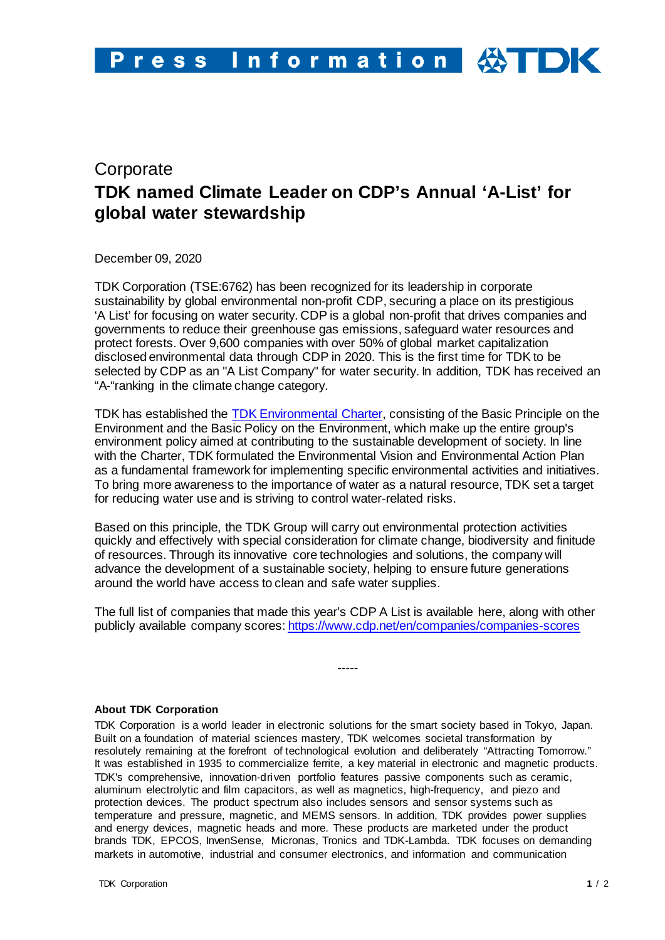## **Corporate TDK named Climate Leader on CDP's Annual 'A-List' for global water stewardship**

December 09, 2020

TDK Corporation (TSE:6762) has been recognized for its leadership in corporate sustainability by global environmental non-profit CDP, securing a place on its prestigious 'A List' for focusing on water security. CDP is a global non-profit that drives companies and governments to reduce their greenhouse gas emissions, safeguard water resources and protect forests. Over 9,600 companies with over 50% of global market capitalization disclosed environmental data through CDP in 2020. This is the first time for TDK to be selected by CDP as an "A List Company" for water security. In addition, TDK has received an "A-"ranking in the climate change category.

TDK has established the [TDK Environmental Charter,](https://www.tdk.com/corp/en/sustainability/environmental_responsibility/sus03100.htm) consisting of the Basic Principle on the Environment and the Basic Policy on the Environment, which make up the entire group's environment policy aimed at contributing to the sustainable development of society. In line with the Charter, TDK formulated the Environmental Vision and Environmental Action Plan as a fundamental framework for implementing specific environmental activities and initiatives. To bring more awareness to the importance of water as a natural resource, TDK set a target for reducing water use and is striving to control water-related risks.

Based on this principle, the TDK Group will carry out environmental protection activities quickly and effectively with special consideration for climate change, biodiversity and finitude of resources. Through its innovative core technologies and solutions, the company will advance the development of a sustainable society, helping to ensure future generations around the world have access to clean and safe water supplies.

The full list of companies that made this year's CDP A List is available here, along with other publicly available company scores[: https://www.cdp.net/en/companies/companies-scores](https://www.cdp.net/en/companies/companies-scores)

-----

## **About TDK Corporation**

TDK Corporation is a world leader in electronic solutions for the smart society based in Tokyo, Japan. Built on a foundation of material sciences mastery, TDK welcomes societal transformation by resolutely remaining at the forefront of technological evolution and deliberately "Attracting Tomorrow." It was established in 1935 to commercialize ferrite, a key material in electronic and magnetic products. TDK's comprehensive, innovation-driven portfolio features passive components such as ceramic, aluminum electrolytic and film capacitors, as well as magnetics, high-frequency, and piezo and protection devices. The product spectrum also includes sensors and sensor systems such as temperature and pressure, magnetic, and MEMS sensors. In addition, TDK provides power supplies and energy devices, magnetic heads and more. These products are marketed under the product brands TDK, EPCOS, InvenSense, Micronas, Tronics and TDK-Lambda. TDK focuses on demanding markets in automotive, industrial and consumer electronics, and information and communication